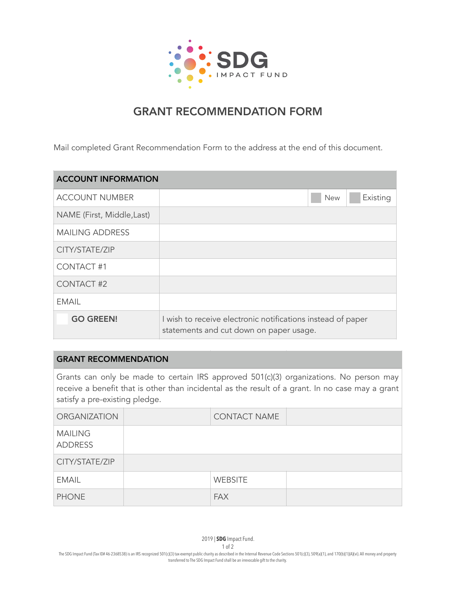

## GRANT RECOMMENDATION FORM

Mail completed Grant Recommendation Form to the address at the end of this document.

| <b>ACCOUNT INFORMATION</b> |                                                                                                        |  |  |  |
|----------------------------|--------------------------------------------------------------------------------------------------------|--|--|--|
| <b>ACCOUNT NUMBER</b>      | Existing<br><b>New</b>                                                                                 |  |  |  |
| NAME (First, Middle, Last) |                                                                                                        |  |  |  |
| <b>MAILING ADDRESS</b>     |                                                                                                        |  |  |  |
| CITY/STATE/ZIP             |                                                                                                        |  |  |  |
| <b>CONTACT #1</b>          |                                                                                                        |  |  |  |
| <b>CONTACT #2</b>          |                                                                                                        |  |  |  |
| FMAIL                      |                                                                                                        |  |  |  |
| <b>GO GREEN!</b>           | I wish to receive electronic notifications instead of paper<br>statements and cut down on paper usage. |  |  |  |

## GRANT RECOMMENDATION

Grants can only be made to certain IRS approved 501(c)(3) organizations. No person may receive a benefit that is other than incidental as the result of a grant. In no case may a grant satisfy a pre-existing pledge.

| <b>ORGANIZATION</b>              | <b>CONTACT NAME</b> |  |
|----------------------------------|---------------------|--|
| <b>MAILING</b><br><b>ADDRESS</b> |                     |  |
| CITY/STATE/ZIP                   |                     |  |
| <b>EMAIL</b>                     | <b>WEBSITE</b>      |  |
| <b>PHONE</b>                     | <b>FAX</b>          |  |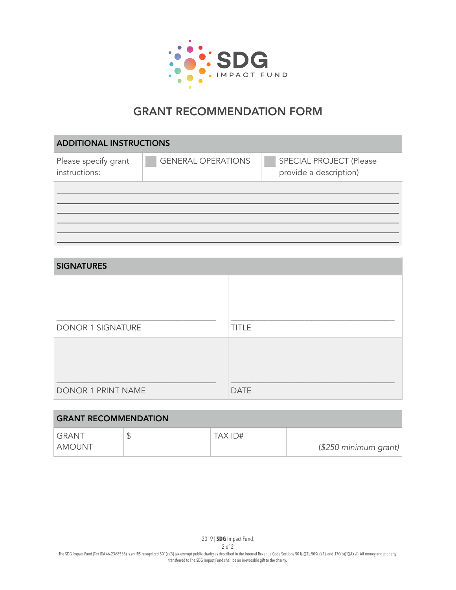

## GRANT RECOMMENDATION FORM

| <b>ADDITIONAL INSTRUCTIONS</b>        |                           |                                                   |  |  |  |  |
|---------------------------------------|---------------------------|---------------------------------------------------|--|--|--|--|
| Please specify grant<br>instructions: | <b>GENERAL OPERATIONS</b> | SPECIAL PROJECT (Please<br>provide a description) |  |  |  |  |
|                                       |                           |                                                   |  |  |  |  |
|                                       |                           |                                                   |  |  |  |  |
|                                       |                           |                                                   |  |  |  |  |
|                                       |                           |                                                   |  |  |  |  |

| <b>SIGNATURES</b>        |              |  |  |  |
|--------------------------|--------------|--|--|--|
|                          |              |  |  |  |
|                          |              |  |  |  |
|                          |              |  |  |  |
| <b>DONOR 1 SIGNATURE</b> | <b>TITLE</b> |  |  |  |
|                          |              |  |  |  |
|                          |              |  |  |  |
|                          |              |  |  |  |
| DONOR 1 PRINT NAME       | <b>DATE</b>  |  |  |  |

| <b>GRANT RECOMMENDATION</b> |  |         |                        |  |  |
|-----------------------------|--|---------|------------------------|--|--|
| GRANT .                     |  | TAX ID# |                        |  |  |
| AMOUNT                      |  |         | $($250$ minimum grant) |  |  |